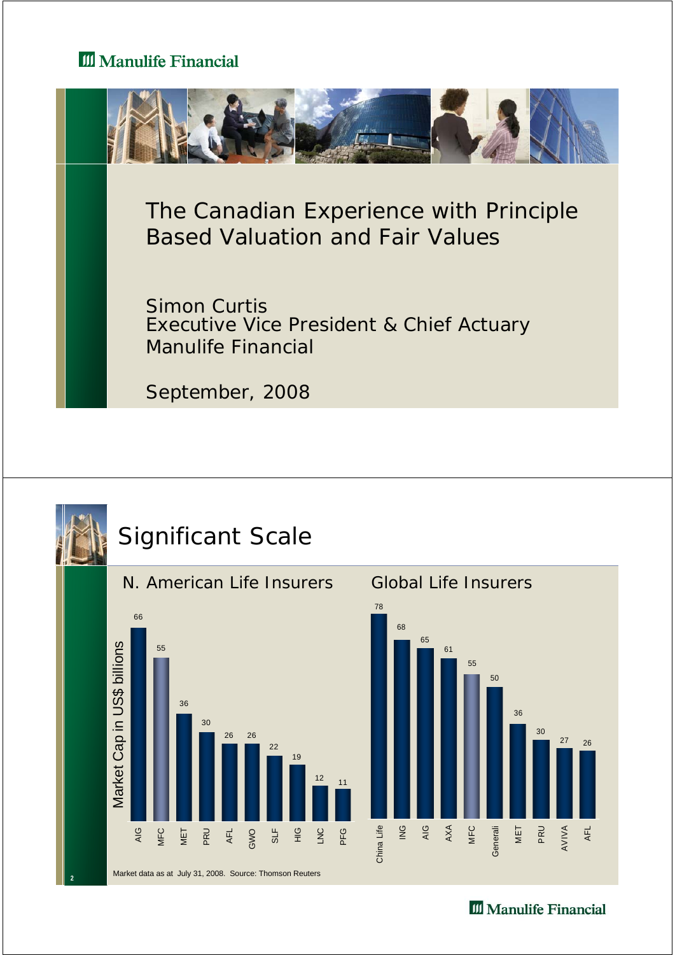

The Canadian Experience with Principle Based Valuation and Fair Values

Simon Curtis Executive Vice President & Chief Actuary Manulife Financial

September, 2008





**2**

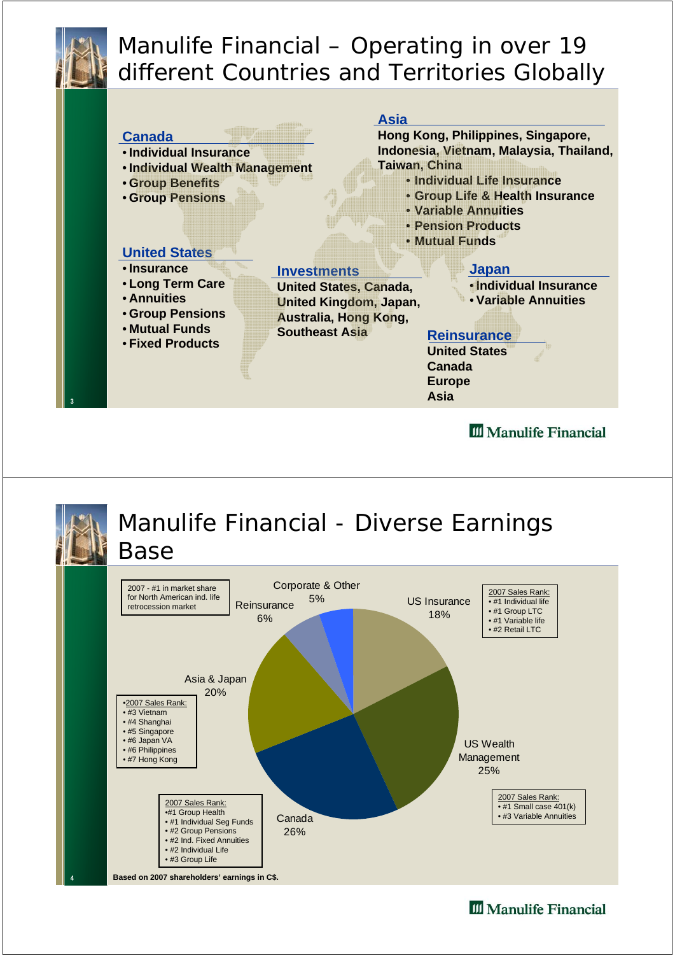

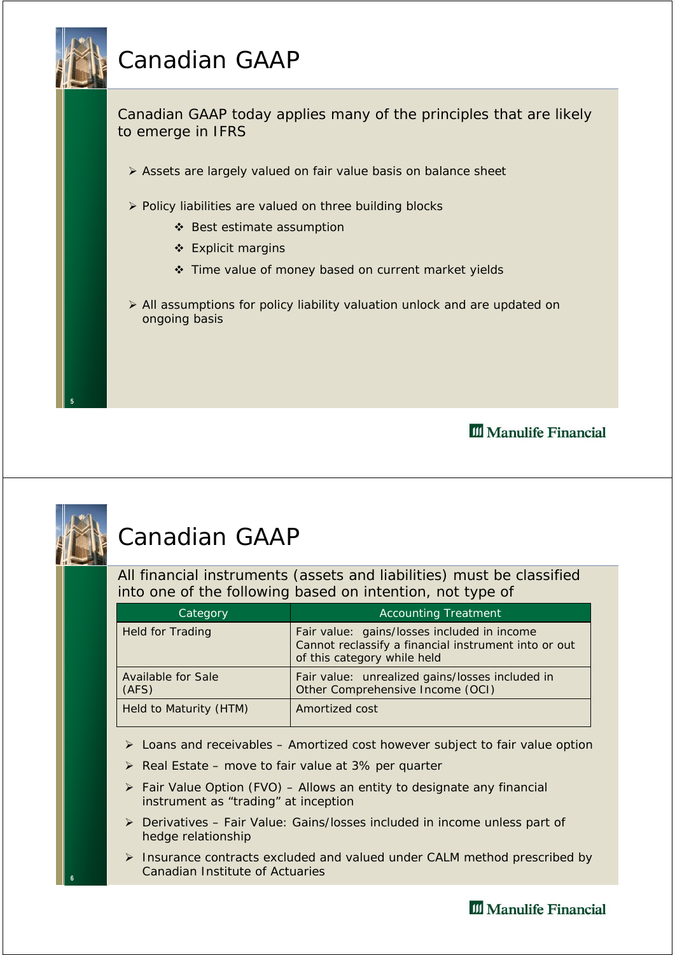# Canadian GAAP



III Manulife Financial



**6**

#### Canadian GAAP

All financial instruments (assets and liabilities) must be classified into one of the following based on intention, not type of

| Category                           | <b>Accounting Treatment</b>                                                                                                        |
|------------------------------------|------------------------------------------------------------------------------------------------------------------------------------|
| <b>Held for Trading</b>            | Fair value: gains/losses included in income<br>Cannot reclassify a financial instrument into or out<br>of this category while held |
| <b>Available for Sale</b><br>(AFS) | Fair value: unrealized gains/losses included in<br>Other Comprehensive Income (OCI)                                                |
| Held to Maturity (HTM)             | Amortized cost                                                                                                                     |

- $\triangleright$  Loans and receivables Amortized cost however subject to fair value option
- $\triangleright$  Real Estate move to fair value at 3% per quarter
- ¾ Fair Value Option (FVO) Allows an entity to designate any financial instrument as "trading" at inception
- ¾ Derivatives Fair Value: Gains/losses included in income unless part of hedge relationship
- ¾ Insurance contracts excluded and valued under CALM method prescribed by Canadian Institute of Actuaries

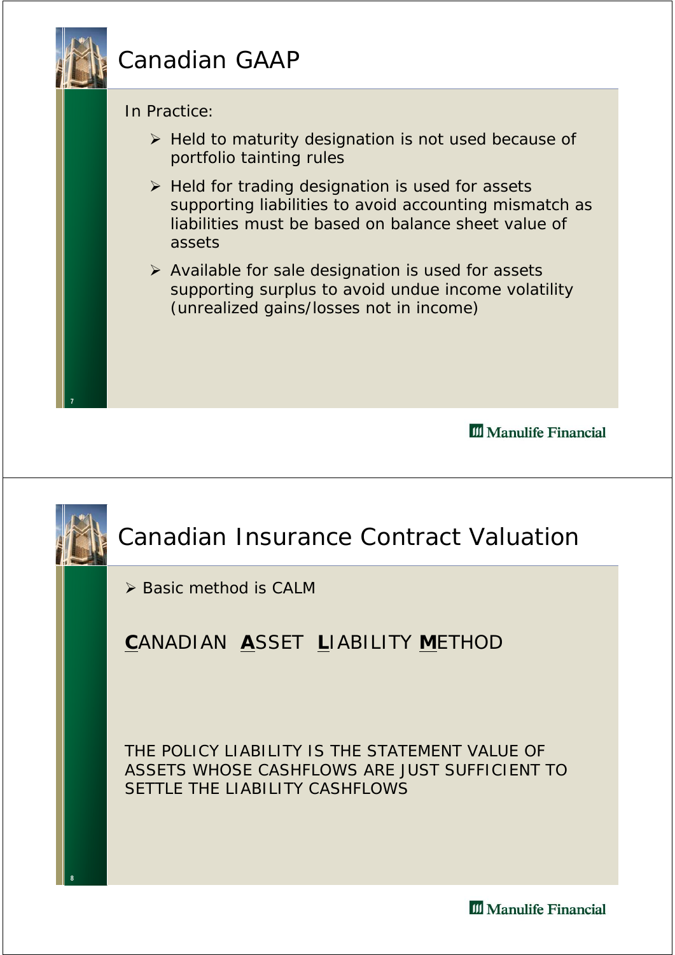## Canadian GAAP

In Practice:

**7**

**8**

- $\triangleright$  Held to maturity designation is not used because of portfolio tainting rules
- $\triangleright$  Held for trading designation is used for assets supporting liabilities to avoid accounting mismatch as liabilities must be based on balance sheet value of assets
- $\triangleright$  Available for sale designation is used for assets supporting surplus to avoid undue income volatility (unrealized gains/losses not in income)

III Manulife Financial

# Canadian Insurance Contract Valuation

¾ Basic method is CALM

#### **C**ANADIAN **A**SSET **L**IABILITY **M**ETHOD

THE POLICY LIABILITY IS THE STATEMENT VALUE OF ASSETS WHOSE CASHFLOWS ARE JUST SUFFICIENT TO SETTLE THE LIABILITY CASHELOWS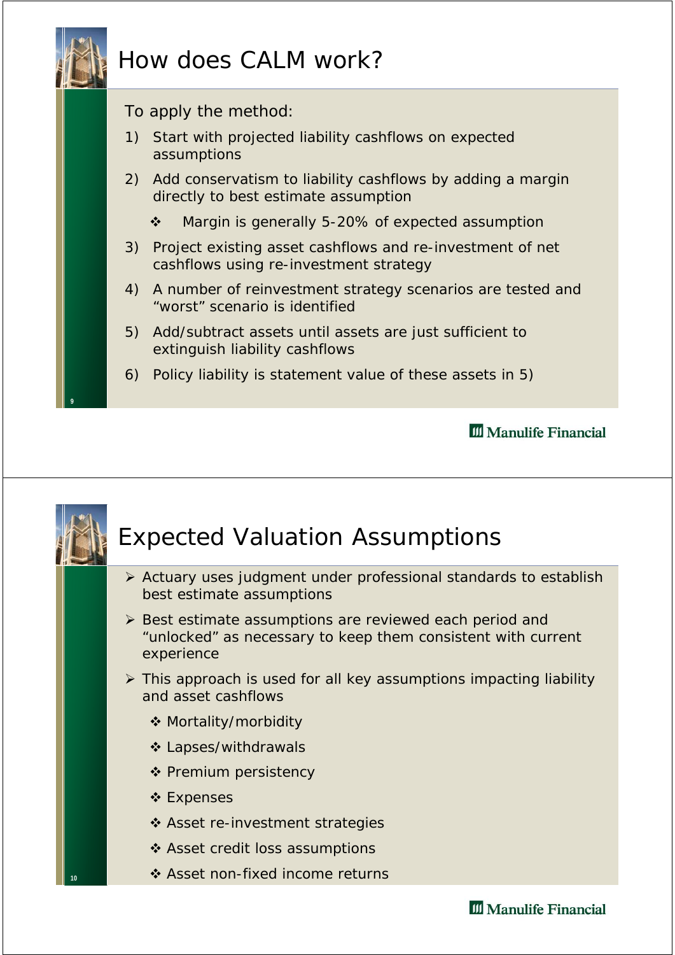



- ¾ Actuary uses judgment under professional standards to establish best estimate assumptions
- ¾ Best estimate assumptions are reviewed each period and "unlocked" as necessary to keep them consistent with current experience
- $\triangleright$  This approach is used for all key assumptions impacting liability and asset cashflows
	- Mortality/morbidity
	- ❖ Lapses/withdrawals
	- ❖ Premium persistency
	- ❖ Expenses

**10**

- ❖ Asset re-investment strategies
- ❖ Asset credit loss assumptions
- ❖ Asset non-fixed income returns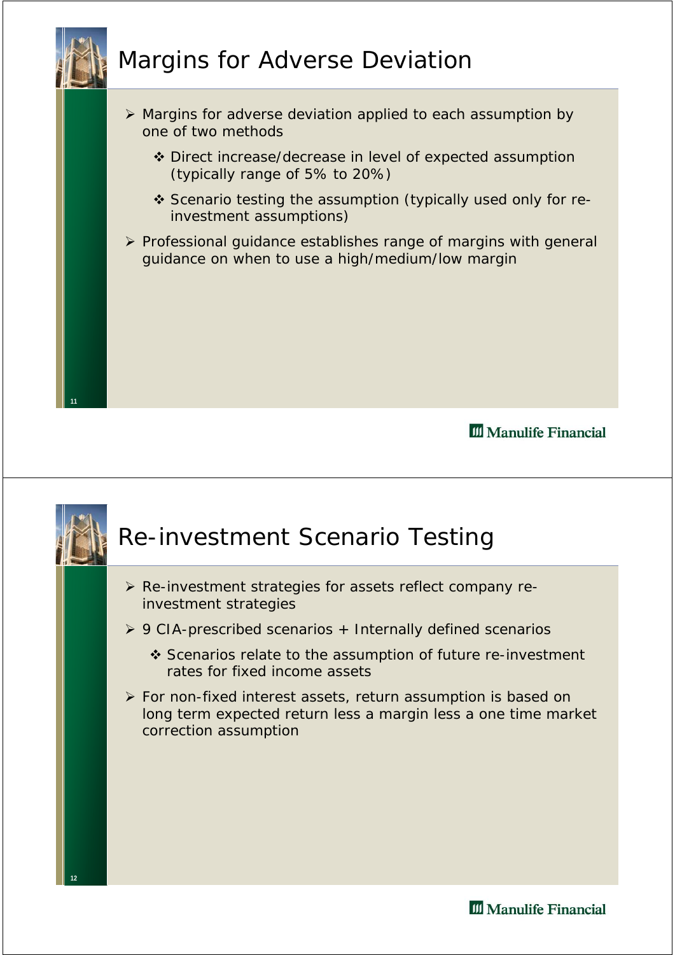

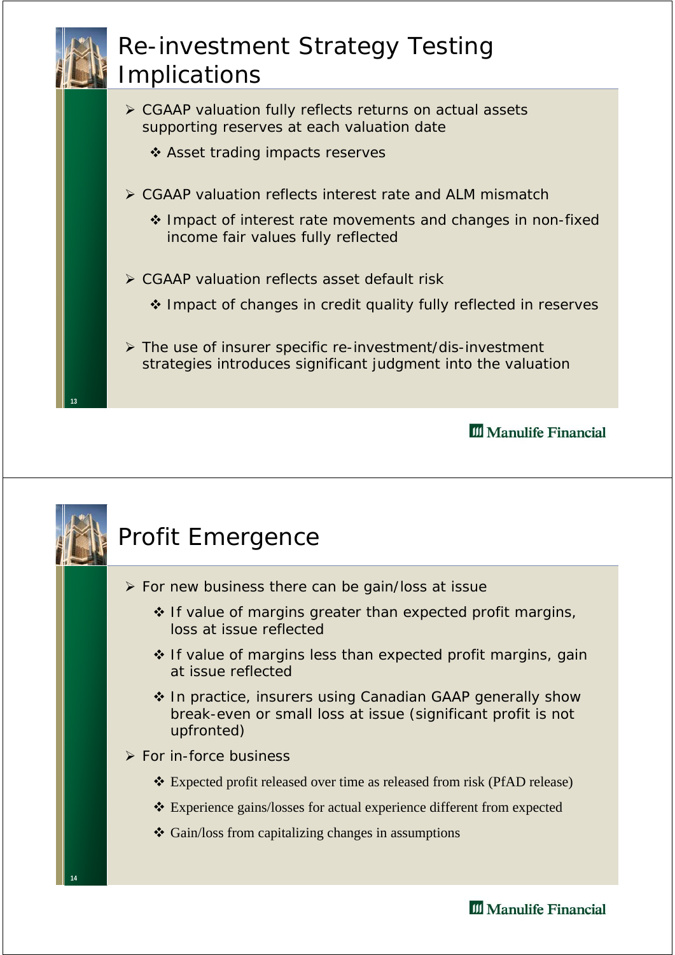#### Re-investment Strategy Testing Implications

- ¾ CGAAP valuation fully reflects returns on actual assets supporting reserves at each valuation date
	- ❖ Asset trading impacts reserves
- ¾ CGAAP valuation reflects interest rate and ALM mismatch
	- \* Impact of interest rate movements and changes in non-fixed income fair values fully reflected
- ¾ CGAAP valuation reflects asset default risk

**13**

❖ Impact of changes in credit quality fully reflected in reserves

¾ The use of insurer specific re-investment/dis-investment strategies introduces significant judgment into the valuation

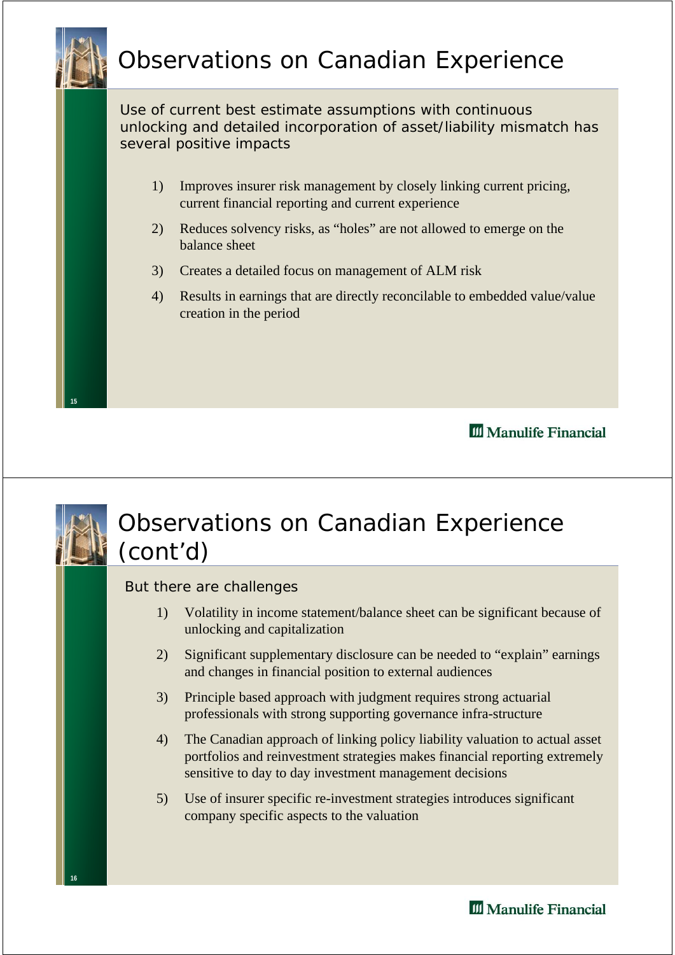

Use of current best estimate assumptions with continuous unlocking and detailed incorporation of asset/liability mismatch has several positive impacts

- 1) Improves insurer risk management by closely linking current pricing, current financial reporting and current experience
- 2) Reduces solvency risks, as "holes" are not allowed to emerge on the balance sheet
- 3) Creates a detailed focus on management of ALM risk
- 4) Results in earnings that are directly reconcilable to embedded value/value creation in the period

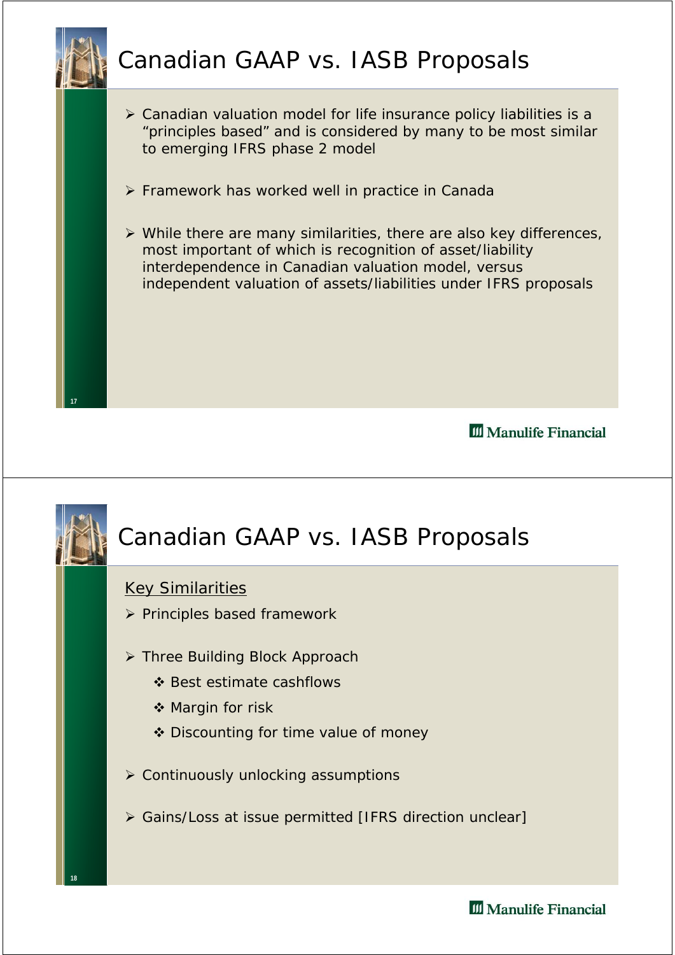

**18**

- ¾ Canadian valuation model for life insurance policy liabilities is a "principles based" and is considered by many to be most similar to emerging IFRS phase 2 model
- ¾ Framework has worked well in practice in Canada
- $\triangleright$  While there are many similarities, there are also key differences, most important of which is recognition of asset/liability interdependence in Canadian valuation model, versus independent valuation of assets/liabilities under IFRS proposals

III Manulife Financial

## Canadian GAAP vs. IASB Proposals

#### Key Similarities

- ¾ Principles based framework
- ¾ Three Building Block Approach
	- ❖ Best estimate cashflows
	- ❖ Margin for risk
	- ❖ Discounting for time value of money
- $\triangleright$  Continuously unlocking assumptions
- ¾ Gains/Loss at issue permitted [IFRS direction unclear]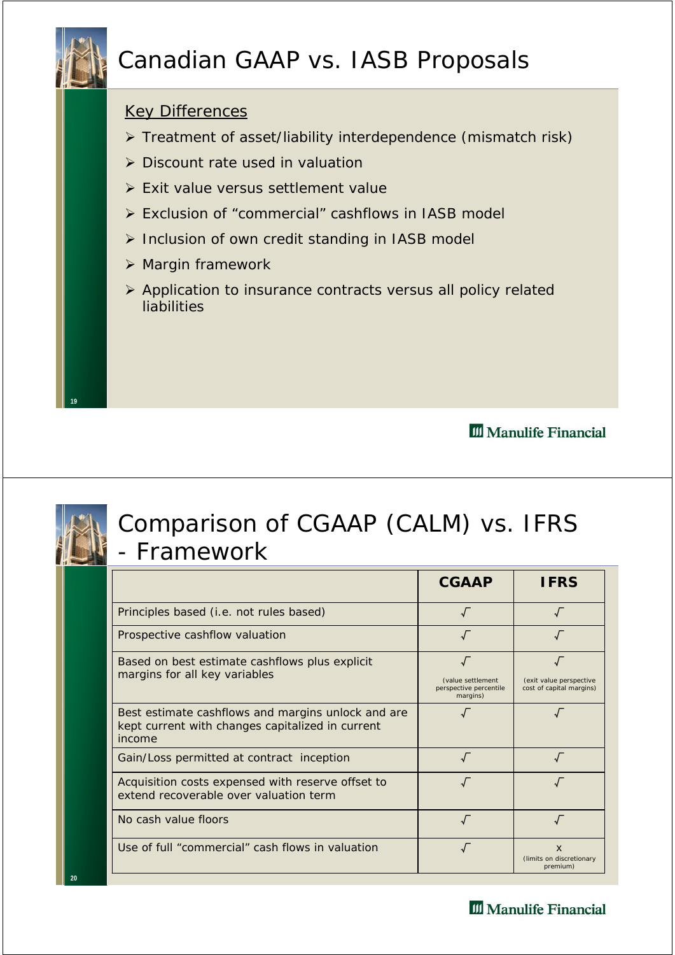

#### Canadian GAAP vs. IASB Proposals

#### Key Differences

- ¾ Treatment of asset/liability interdependence (mismatch risk)
- $\triangleright$  Discount rate used in valuation
- ¾ Exit value versus settlement value
- ¾ Exclusion of "commercial" cashflows in IASB model
- ¾ Inclusion of own credit standing in IASB model
- $\triangleright$  Margin framework
- ¾ Application to insurance contracts versus all policy related liabilities

**III** Manulife Financial



**20**

**19**

#### Comparison of CGAAP (CALM) vs. IFRS - Framework

|                                                                                                                  | <b>CGAAP</b>                                            | <b>IFRS</b>                                          |
|------------------------------------------------------------------------------------------------------------------|---------------------------------------------------------|------------------------------------------------------|
| Principles based (i.e. not rules based)                                                                          | $\sqrt{ }$                                              |                                                      |
| Prospective cashflow valuation                                                                                   |                                                         |                                                      |
| Based on best estimate cashflows plus explicit<br>margins for all key variables                                  | (value settlement<br>perspective percentile<br>margins) | (exit value perspective<br>cost of capital margins)  |
| Best estimate cashflows and margins unlock and are<br>kept current with changes capitalized in current<br>income |                                                         |                                                      |
| Gain/Loss permitted at contract inception                                                                        |                                                         |                                                      |
| Acquisition costs expensed with reserve offset to<br>extend recoverable over valuation term                      |                                                         |                                                      |
| No cash value floors                                                                                             |                                                         |                                                      |
| Use of full "commercial" cash flows in valuation                                                                 |                                                         | $\mathsf{x}$<br>(limits on discretionary<br>premium) |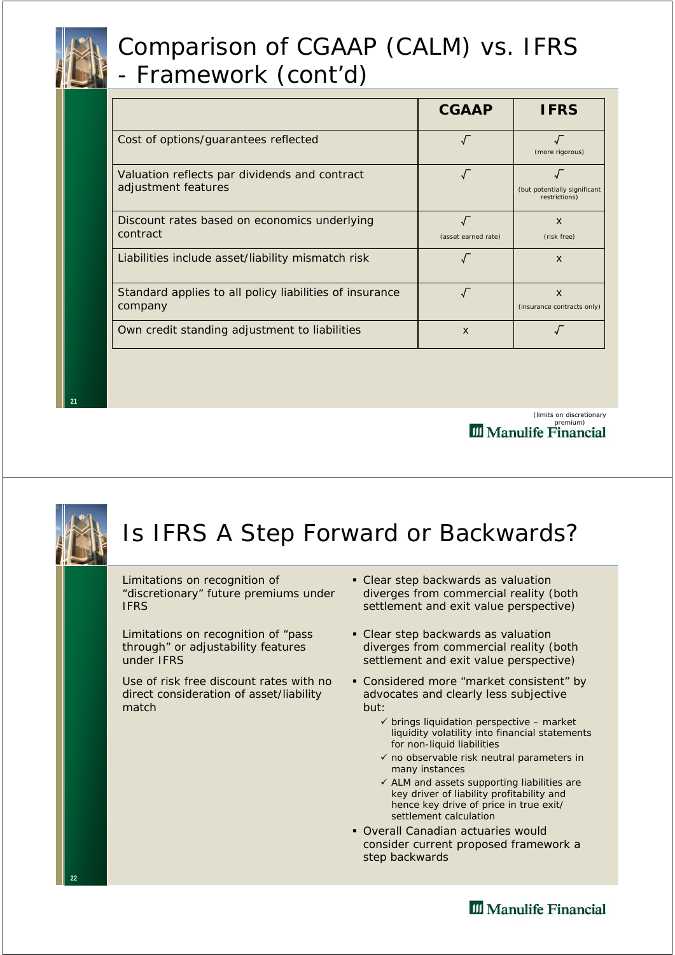#### Comparison of CGAAP (CALM) vs. IFRS - Framework (cont'd)

|                                                                      | <b>CGAAP</b>        | <b>IFRS</b>                                             |
|----------------------------------------------------------------------|---------------------|---------------------------------------------------------|
| Cost of options/guarantees reflected                                 |                     | (more rigorous)                                         |
| Valuation reflects par dividends and contract<br>adjustment features |                     | (but potentially significant<br>restrictions)           |
| Discount rates based on economics underlying<br>contract             | (asset earned rate) | $\mathbf{x}$<br>(risk free)                             |
| Liabilities include asset/liability mismatch risk                    |                     | $\boldsymbol{\mathsf{x}}$                               |
| Standard applies to all policy liabilities of insurance<br>company   |                     | $\boldsymbol{\mathsf{x}}$<br>(insurance contracts only) |
| Own credit standing adjustment to liabilities                        | $\mathsf{x}$        |                                                         |

(limits on discretionary **III** Manulife Financial



**22**

**21**

# Is IFRS A Step Forward or Backwards?

Limitations on recognition of "discretionary" future premiums under IFRS

Limitations on recognition of "pass through" or adjustability features under IFRS

Use of risk free discount rates with no direct consideration of asset/liability match

- Clear step backwards as valuation diverges from commercial reality (both settlement and exit value perspective)
- Clear step backwards as valuation diverges from commercial reality (both settlement and exit value perspective)
- Considered more "market consistent" by advocates and clearly less subjective but:
	- $\checkmark$  brings liquidation perspective market liquidity volatility into financial statements for non-liquid liabilities
	- $\checkmark$  no observable risk neutral parameters in many instances
	- $\checkmark$  ALM and assets supporting liabilities are key driver of liability profitability and hence key drive of price in true exit/ settlement calculation
- Overall Canadian actuaries would consider current proposed framework a step backwards

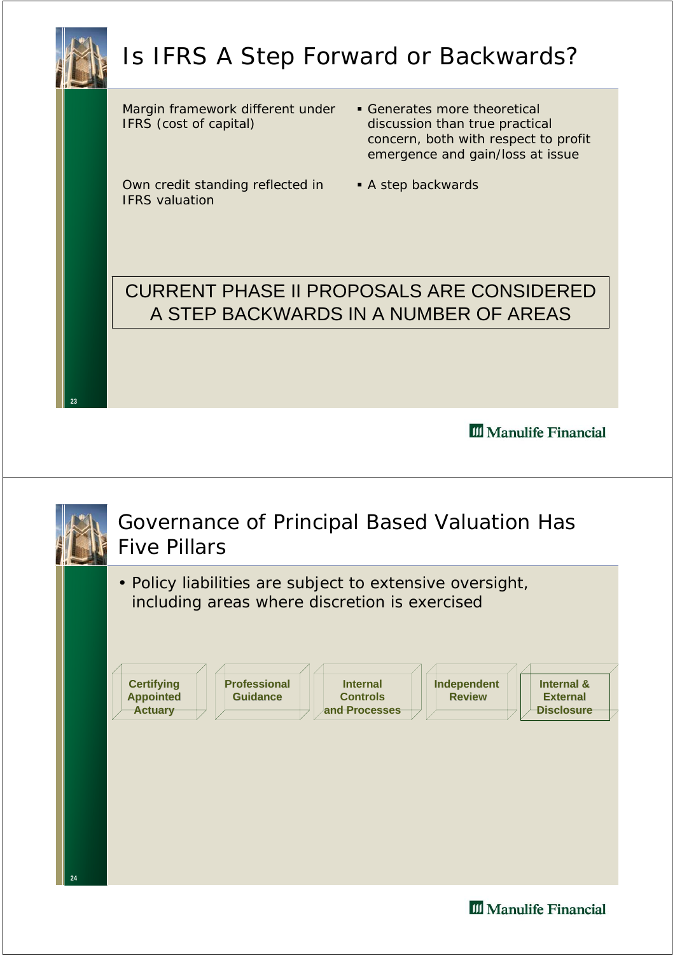## Is IFRS A Step Forward or Backwards?

Margin framework different under IFRS (cost of capital)

Own credit standing reflected in **A** step backwards IFRS valuation

- Generates more theoretical discussion than true practical concern, both with respect to profit emergence and gain/loss at issue
- 

#### CURRENT PHASE II PROPOSALS ARE CONSIDERED A STEP BACKWARDS IN A NUMBER OF AREAS

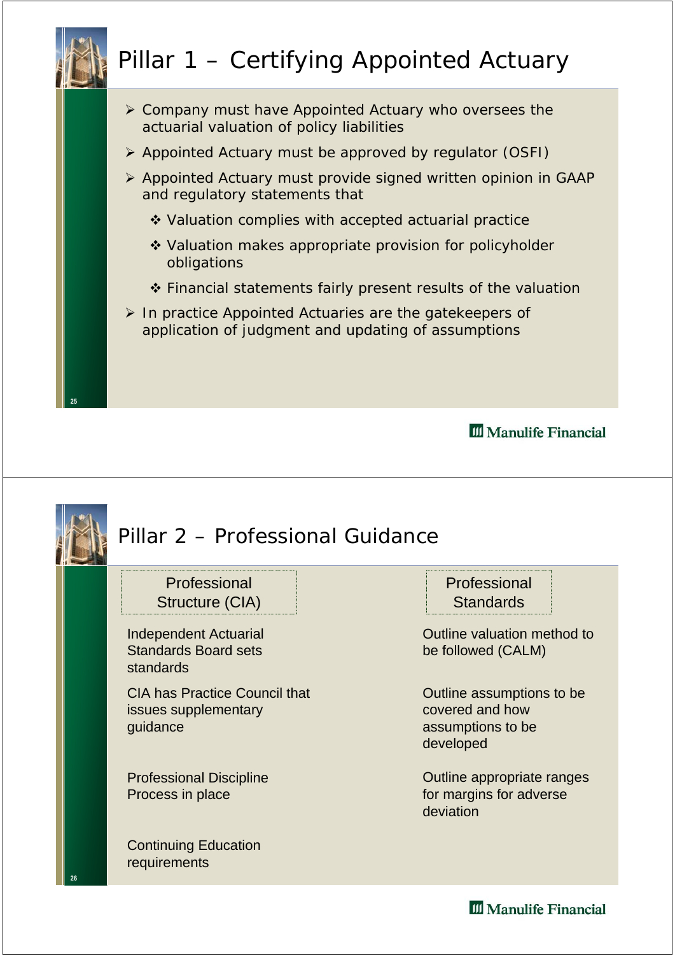# Pillar 1 – Certifying Appointed Actuary

- ¾ Company must have Appointed Actuary who oversees the actuarial valuation of policy liabilities
- ¾ Appointed Actuary must be approved by regulator (OSFI)
- ¾ Appointed Actuary must provide signed written opinion in GAAP and regulatory statements that
	- ◆ Valuation complies with accepted actuarial practice
	- ❖ Valuation makes appropriate provision for policyholder obligations
	- ❖ Financial statements fairly present results of the valuation
- ¾ In practice Appointed Actuaries are the gatekeepers of application of judgment and updating of assumptions

**25**

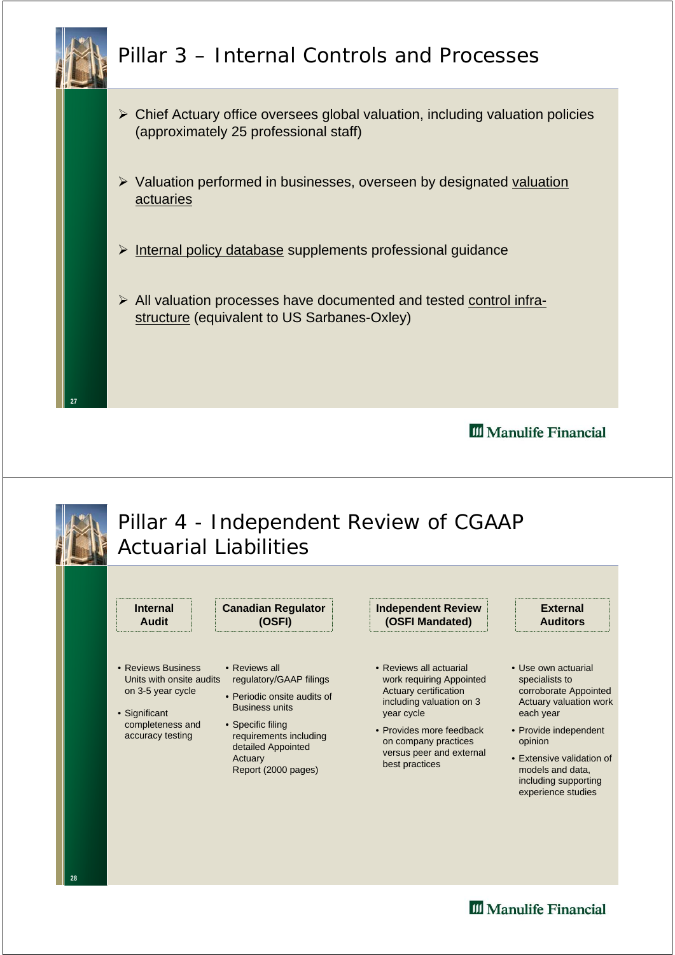

#### Pillar 3 – Internal Controls and Processes

- $\triangleright$  Chief Actuary office oversees global valuation, including valuation policies (approximately 25 professional staff)
- $\triangleright$  Valuation performed in businesses, overseen by designated valuation actuaries
- $\triangleright$  Internal policy database supplements professional guidance
- $\triangleright$  All valuation processes have documented and tested control infrastructure (equivalent to US Sarbanes-Oxley)

**III** Manulife Financial

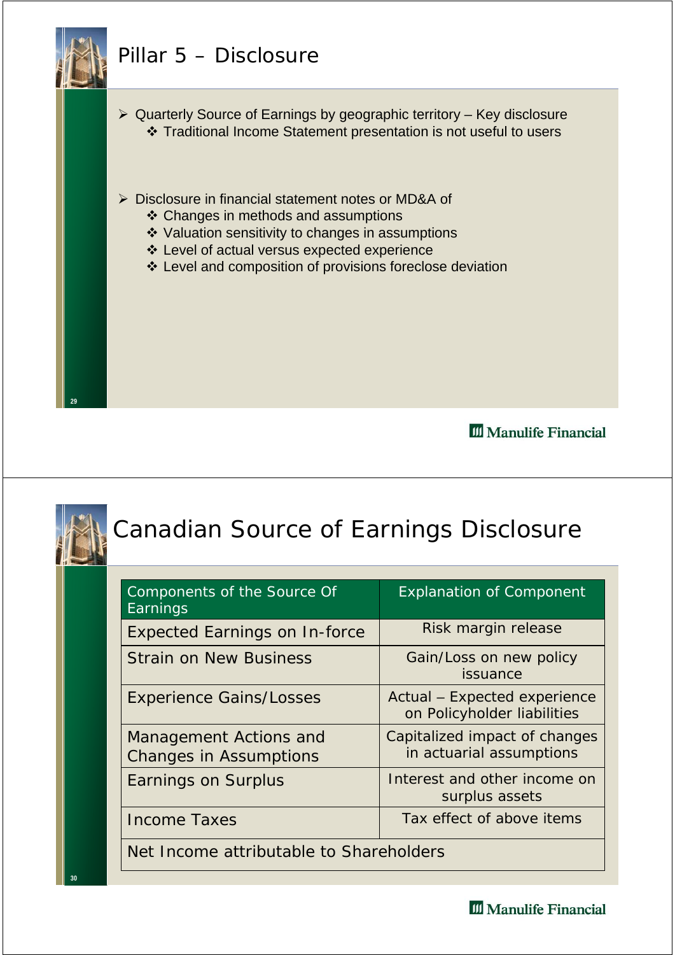#### Pillar 5 – Disclosure



**29**

**30**

¾ Quarterly Source of Earnings by geographic territory – Key disclosure Traditional Income Statement presentation is not useful to users

- ¾ Disclosure in financial statement notes or MD&A of
	- ❖ Changes in methods and assumptions
	- ❖ Valuation sensitivity to changes in assumptions
	- Level of actual versus expected experience
	- Level and composition of provisions foreclose deviation

III Manulife Financial

## Canadian Source of Earnings Disclosure

| Components of the Source Of<br>Earnings                 | <b>Explanation of Component</b>                             |  |  |  |
|---------------------------------------------------------|-------------------------------------------------------------|--|--|--|
| <b>Expected Earnings on In-force</b>                    | Risk margin release                                         |  |  |  |
| <b>Strain on New Business</b>                           | Gain/Loss on new policy<br>issuance                         |  |  |  |
| <b>Experience Gains/Losses</b>                          | Actual - Expected experience<br>on Policyholder liabilities |  |  |  |
| Management Actions and<br><b>Changes in Assumptions</b> | Capitalized impact of changes<br>in actuarial assumptions   |  |  |  |
| Earnings on Surplus                                     | Interest and other income on<br>surplus assets              |  |  |  |
| <b>Income Taxes</b>                                     | Tax effect of above items                                   |  |  |  |
| Net Income attributable to Shareholders                 |                                                             |  |  |  |